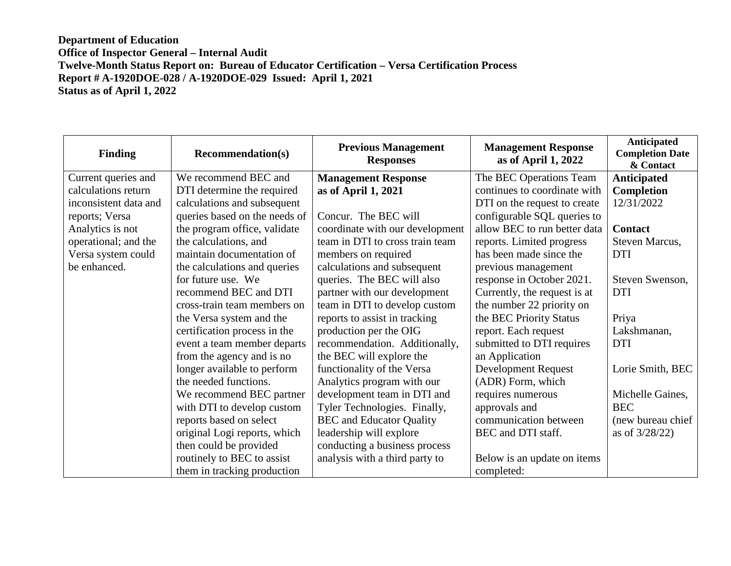| <b>Finding</b>        | <b>Recommendation(s)</b>      | <b>Previous Management</b><br><b>Responses</b> | <b>Management Response</b><br>as of April 1, 2022 | Anticipated<br><b>Completion Date</b><br>& Contact |
|-----------------------|-------------------------------|------------------------------------------------|---------------------------------------------------|----------------------------------------------------|
| Current queries and   | We recommend BEC and          | <b>Management Response</b>                     | The BEC Operations Team                           | Anticipated                                        |
| calculations return   | DTI determine the required    | as of April 1, 2021                            | continues to coordinate with                      | <b>Completion</b>                                  |
| inconsistent data and | calculations and subsequent   |                                                | DTI on the request to create                      | 12/31/2022                                         |
| reports; Versa        | queries based on the needs of | Concur. The BEC will                           | configurable SQL queries to                       |                                                    |
| Analytics is not      | the program office, validate  | coordinate with our development                | allow BEC to run better data                      | <b>Contact</b>                                     |
| operational; and the  | the calculations, and         | team in DTI to cross train team                | reports. Limited progress                         | Steven Marcus,                                     |
| Versa system could    | maintain documentation of     | members on required                            | has been made since the                           | <b>DTI</b>                                         |
| be enhanced.          | the calculations and queries  | calculations and subsequent                    | previous management                               |                                                    |
|                       | for future use. We            | queries. The BEC will also                     | response in October 2021.                         | Steven Swenson,                                    |
|                       | recommend BEC and DTI         | partner with our development                   | Currently, the request is at                      | <b>DTI</b>                                         |
|                       | cross-train team members on   | team in DTI to develop custom                  | the number 22 priority on                         |                                                    |
|                       | the Versa system and the      | reports to assist in tracking                  | the BEC Priority Status                           | Priya                                              |
|                       | certification process in the  | production per the OIG                         | report. Each request                              | Lakshmanan,                                        |
|                       | event a team member departs   | recommendation. Additionally,                  | submitted to DTI requires                         | <b>DTI</b>                                         |
|                       | from the agency and is no     | the BEC will explore the                       | an Application                                    |                                                    |
|                       | longer available to perform   | functionality of the Versa                     | <b>Development Request</b>                        | Lorie Smith, BEC                                   |
|                       | the needed functions.         | Analytics program with our                     | (ADR) Form, which                                 |                                                    |
|                       | We recommend BEC partner      | development team in DTI and                    | requires numerous                                 | Michelle Gaines,                                   |
|                       | with DTI to develop custom    | Tyler Technologies. Finally,                   | approvals and                                     | <b>BEC</b>                                         |
|                       | reports based on select       | <b>BEC</b> and Educator Quality                | communication between                             | (new bureau chief                                  |
|                       | original Logi reports, which  | leadership will explore                        | BEC and DTI staff.                                | as of $3/28/22$ )                                  |
|                       | then could be provided        | conducting a business process                  |                                                   |                                                    |
|                       | routinely to BEC to assist    | analysis with a third party to                 | Below is an update on items                       |                                                    |
|                       | them in tracking production   |                                                | completed:                                        |                                                    |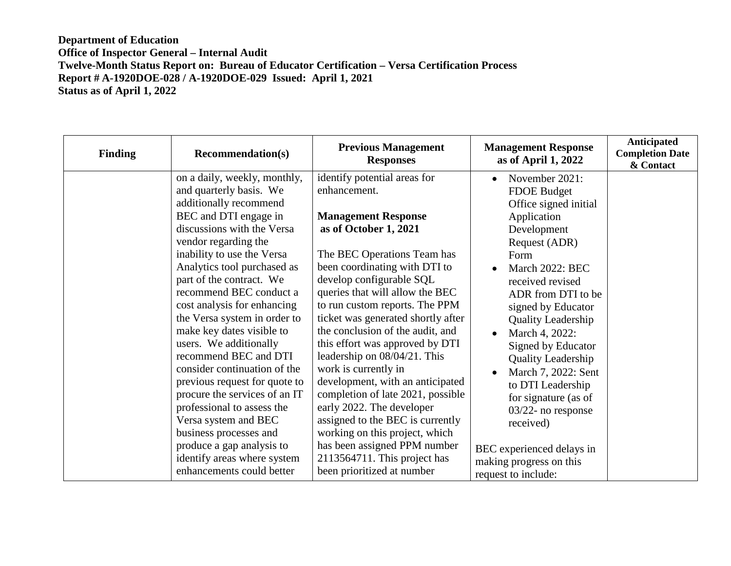| <b>Finding</b> | <b>Recommendation(s)</b>                                                                                                                                                                                                                                                                                                                                                                                                                                                                                                                                                                                                                                                                                       | <b>Previous Management</b><br><b>Responses</b>                                                                                                                                                                                                                                                                                                                                                                                                                                                                                                                                                                                                                                                                      | <b>Management Response</b><br>as of April 1, 2022                                                                                                                                                                                                                                                                                                                                                                                                                                                                                         | Anticipated<br><b>Completion Date</b><br>& Contact |
|----------------|----------------------------------------------------------------------------------------------------------------------------------------------------------------------------------------------------------------------------------------------------------------------------------------------------------------------------------------------------------------------------------------------------------------------------------------------------------------------------------------------------------------------------------------------------------------------------------------------------------------------------------------------------------------------------------------------------------------|---------------------------------------------------------------------------------------------------------------------------------------------------------------------------------------------------------------------------------------------------------------------------------------------------------------------------------------------------------------------------------------------------------------------------------------------------------------------------------------------------------------------------------------------------------------------------------------------------------------------------------------------------------------------------------------------------------------------|-------------------------------------------------------------------------------------------------------------------------------------------------------------------------------------------------------------------------------------------------------------------------------------------------------------------------------------------------------------------------------------------------------------------------------------------------------------------------------------------------------------------------------------------|----------------------------------------------------|
|                | on a daily, weekly, monthly,<br>and quarterly basis. We<br>additionally recommend<br>BEC and DTI engage in<br>discussions with the Versa<br>vendor regarding the<br>inability to use the Versa<br>Analytics tool purchased as<br>part of the contract. We<br>recommend BEC conduct a<br>cost analysis for enhancing<br>the Versa system in order to<br>make key dates visible to<br>users. We additionally<br>recommend BEC and DTI<br>consider continuation of the<br>previous request for quote to<br>procure the services of an IT<br>professional to assess the<br>Versa system and BEC<br>business processes and<br>produce a gap analysis to<br>identify areas where system<br>enhancements could better | identify potential areas for<br>enhancement.<br><b>Management Response</b><br>as of October 1, 2021<br>The BEC Operations Team has<br>been coordinating with DTI to<br>develop configurable SQL<br>queries that will allow the BEC<br>to run custom reports. The PPM<br>ticket was generated shortly after<br>the conclusion of the audit, and<br>this effort was approved by DTI<br>leadership on 08/04/21. This<br>work is currently in<br>development, with an anticipated<br>completion of late 2021, possible<br>early 2022. The developer<br>assigned to the BEC is currently<br>working on this project, which<br>has been assigned PPM number<br>2113564711. This project has<br>been prioritized at number | November 2021:<br>$\bullet$<br><b>FDOE Budget</b><br>Office signed initial<br>Application<br>Development<br>Request (ADR)<br>Form<br>March 2022: BEC<br>received revised<br>ADR from DTI to be<br>signed by Educator<br><b>Quality Leadership</b><br>March 4, 2022:<br>$\bullet$<br>Signed by Educator<br><b>Quality Leadership</b><br>March 7, 2022: Sent<br>$\bullet$<br>to DTI Leadership<br>for signature (as of<br>$03/22$ - no response<br>received)<br>BEC experienced delays in<br>making progress on this<br>request to include: |                                                    |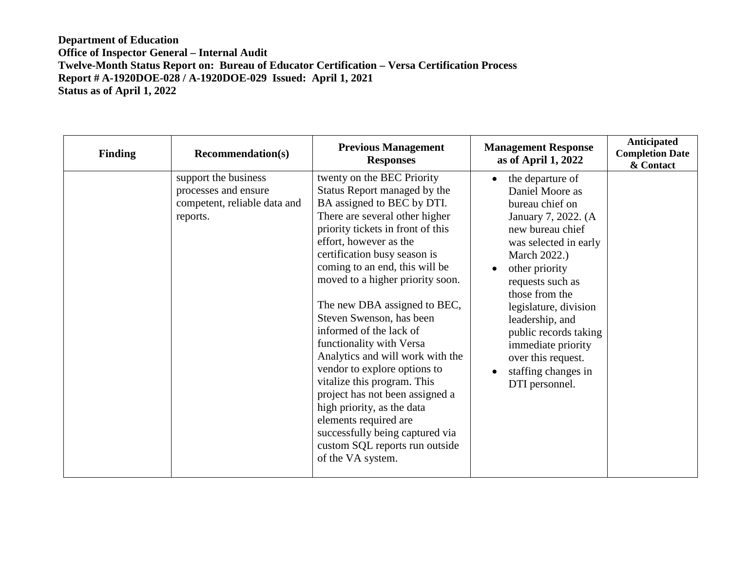| <b>Finding</b> | <b>Recommendation(s)</b>                                                                 | <b>Previous Management</b><br><b>Responses</b>                                                                                                                                                                                                                                                                                                                                                                                                                                                                                                                                                                                                                                                            | <b>Management Response</b><br>as of April 1, 2022                                                                                                                                                                                                                                                                                                                                                   | Anticipated<br><b>Completion Date</b><br>& Contact |
|----------------|------------------------------------------------------------------------------------------|-----------------------------------------------------------------------------------------------------------------------------------------------------------------------------------------------------------------------------------------------------------------------------------------------------------------------------------------------------------------------------------------------------------------------------------------------------------------------------------------------------------------------------------------------------------------------------------------------------------------------------------------------------------------------------------------------------------|-----------------------------------------------------------------------------------------------------------------------------------------------------------------------------------------------------------------------------------------------------------------------------------------------------------------------------------------------------------------------------------------------------|----------------------------------------------------|
|                | support the business<br>processes and ensure<br>competent, reliable data and<br>reports. | twenty on the BEC Priority<br>Status Report managed by the<br>BA assigned to BEC by DTI.<br>There are several other higher<br>priority tickets in front of this<br>effort, however as the<br>certification busy season is<br>coming to an end, this will be<br>moved to a higher priority soon.<br>The new DBA assigned to BEC,<br>Steven Swenson, has been<br>informed of the lack of<br>functionality with Versa<br>Analytics and will work with the<br>vendor to explore options to<br>vitalize this program. This<br>project has not been assigned a<br>high priority, as the data<br>elements required are<br>successfully being captured via<br>custom SQL reports run outside<br>of the VA system. | the departure of<br>$\bullet$<br>Daniel Moore as<br>bureau chief on<br>January 7, 2022. (A<br>new bureau chief<br>was selected in early<br>March 2022.)<br>other priority<br>$\bullet$<br>requests such as<br>those from the<br>legislature, division<br>leadership, and<br>public records taking<br>immediate priority<br>over this request.<br>staffing changes in<br>$\bullet$<br>DTI personnel. |                                                    |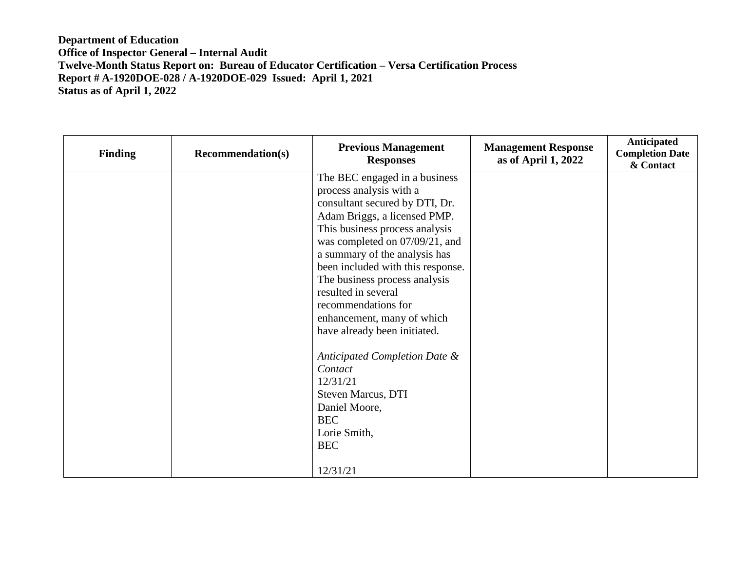| <b>Finding</b> | <b>Recommendation(s)</b> | <b>Previous Management</b><br><b>Responses</b>                                                                                                                                                                                                                                                                                                                                                                    | <b>Management Response</b><br>as of April 1, 2022 | Anticipated<br><b>Completion Date</b><br>& Contact |
|----------------|--------------------------|-------------------------------------------------------------------------------------------------------------------------------------------------------------------------------------------------------------------------------------------------------------------------------------------------------------------------------------------------------------------------------------------------------------------|---------------------------------------------------|----------------------------------------------------|
|                |                          | The BEC engaged in a business<br>process analysis with a<br>consultant secured by DTI, Dr.<br>Adam Briggs, a licensed PMP.<br>This business process analysis<br>was completed on 07/09/21, and<br>a summary of the analysis has<br>been included with this response.<br>The business process analysis<br>resulted in several<br>recommendations for<br>enhancement, many of which<br>have already been initiated. |                                                   |                                                    |
|                |                          | Anticipated Completion Date &<br>Contact<br>12/31/21<br>Steven Marcus, DTI<br>Daniel Moore,<br><b>BEC</b><br>Lorie Smith,<br><b>BEC</b><br>12/31/21                                                                                                                                                                                                                                                               |                                                   |                                                    |